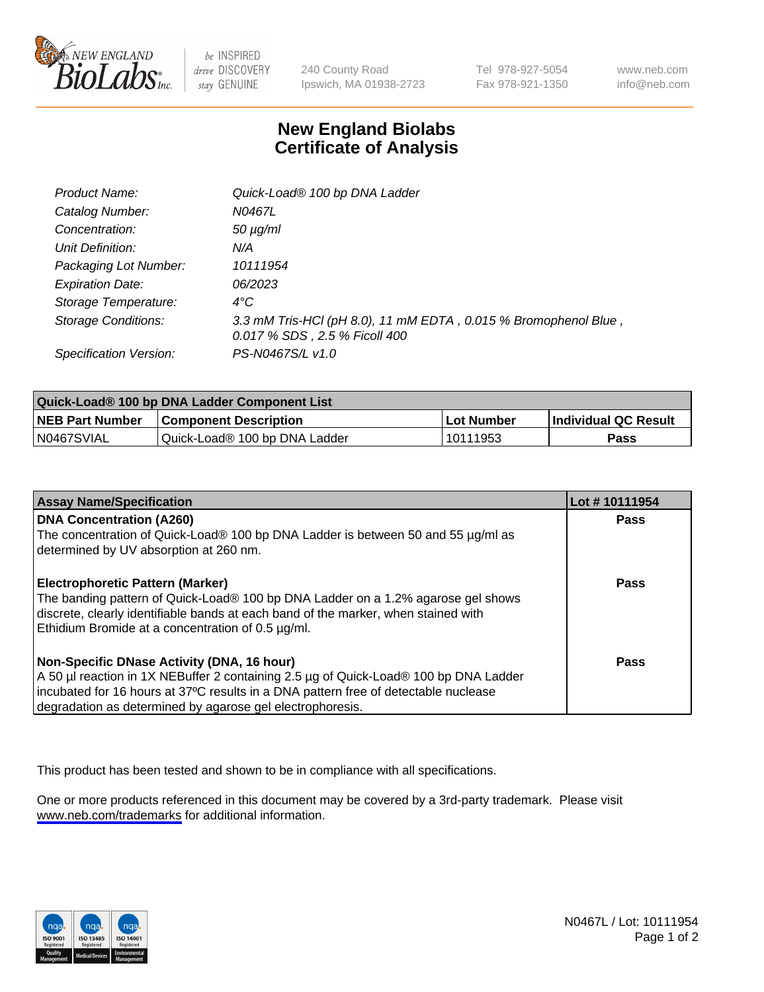

be INSPIRED drive DISCOVERY stay GENUINE

240 County Road Ipswich, MA 01938-2723 Tel 978-927-5054 Fax 978-921-1350

www.neb.com info@neb.com

## **New England Biolabs Certificate of Analysis**

| Product Name:              | Quick-Load® 100 bp DNA Ladder                                                                    |
|----------------------------|--------------------------------------------------------------------------------------------------|
| Catalog Number:            | N0467L                                                                                           |
| Concentration:             | <i>50 µg/ml</i>                                                                                  |
| Unit Definition:           | N/A                                                                                              |
| Packaging Lot Number:      | 10111954                                                                                         |
| <b>Expiration Date:</b>    | 06/2023                                                                                          |
| Storage Temperature:       | $4^{\circ}$ C                                                                                    |
| <b>Storage Conditions:</b> | 3.3 mM Tris-HCl (pH 8.0), 11 mM EDTA, 0.015 % Bromophenol Blue,<br>0.017 % SDS, 2.5 % Ficoll 400 |
| Specification Version:     | PS-N0467S/L v1.0                                                                                 |

| Quick-Load® 100 bp DNA Ladder Component List |                               |                   |                             |  |
|----------------------------------------------|-------------------------------|-------------------|-----------------------------|--|
| <b>NEB Part Number</b>                       | <b>Component Description</b>  | <b>Lot Number</b> | <b>Individual QC Result</b> |  |
| N0467SVIAL                                   | Quick-Load® 100 bp DNA Ladder | 10111953          | Pass                        |  |

| <b>Assay Name/Specification</b>                                                                                                                                                                                                                                                        | Lot #10111954 |
|----------------------------------------------------------------------------------------------------------------------------------------------------------------------------------------------------------------------------------------------------------------------------------------|---------------|
| <b>DNA Concentration (A260)</b><br>The concentration of Quick-Load® 100 bp DNA Ladder is between 50 and 55 µg/ml as<br>determined by UV absorption at 260 nm.                                                                                                                          | <b>Pass</b>   |
| Electrophoretic Pattern (Marker)<br>The banding pattern of Quick-Load® 100 bp DNA Ladder on a 1.2% agarose gel shows<br>discrete, clearly identifiable bands at each band of the marker, when stained with<br>Ethidium Bromide at a concentration of 0.5 µg/ml.                        | Pass          |
| Non-Specific DNase Activity (DNA, 16 hour)<br>A 50 µl reaction in 1X NEBuffer 2 containing 2.5 µg of Quick-Load® 100 bp DNA Ladder<br>incubated for 16 hours at 37°C results in a DNA pattern free of detectable nuclease<br>degradation as determined by agarose gel electrophoresis. | Pass          |

This product has been tested and shown to be in compliance with all specifications.

One or more products referenced in this document may be covered by a 3rd-party trademark. Please visit <www.neb.com/trademarks>for additional information.